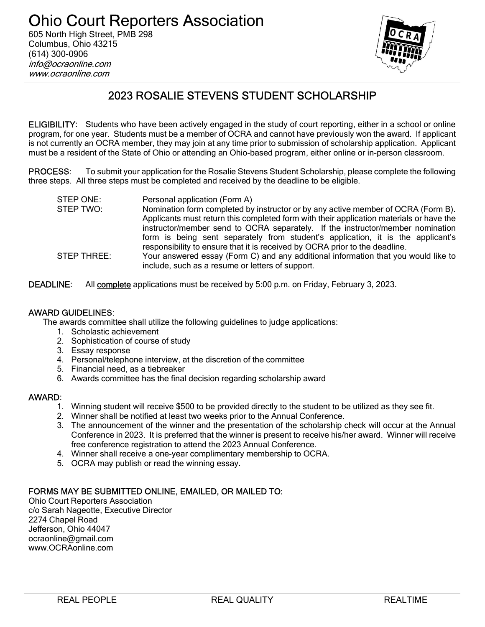

# 2023 ROSALIE STEVENS STUDENT SCHOLARSHIP

ELIGIBILITY: Students who have been actively engaged in the study of court reporting, either in a school or online program, for one year. Students must be a member of OCRA and cannot have previously won the award. If applicant is not currently an OCRA member, they may join at any time prior to submission of scholarship application. Applicant must be a resident of the State of Ohio or attending an Ohio-based program, either online or in-person classroom.

PROCESS: To submit your application for the Rosalie Stevens Student Scholarship, please complete the following three steps. All three steps must be completed and received by the deadline to be eligible.

| STEP ONE:   | Personal application (Form A)                                                           |
|-------------|-----------------------------------------------------------------------------------------|
| STEP TWO:   | Nomination form completed by instructor or by any active member of OCRA (Form B).       |
|             | Applicants must return this completed form with their application materials or have the |
|             | instructor/member send to OCRA separately. If the instructor/member nomination          |
|             | form is being sent separately from student's application, it is the applicant's         |
|             | responsibility to ensure that it is received by OCRA prior to the deadline.             |
| STEP THREE: | Your answered essay (Form C) and any additional information that you would like to      |
|             | include, such as a resume or letters of support.                                        |

DEADLINE: All complete applications must be received by 5:00 p.m. on Friday, February 3, 2023.

#### AWARD GUIDELINES:

The awards committee shall utilize the following guidelines to judge applications:

- 1. Scholastic achievement
- 2. Sophistication of course of study
- 3. Essay response
- 4. Personal/telephone interview, at the discretion of the committee
- 5. Financial need, as a tiebreaker
- 6. Awards committee has the final decision regarding scholarship award

#### AWARD:

- 1. Winning student will receive \$500 to be provided directly to the student to be utilized as they see fit.
- 2. Winner shall be notified at least two weeks prior to the Annual Conference.
- 3. The announcement of the winner and the presentation of the scholarship check will occur at the Annual Conference in 2023. It is preferred that the winner is present to receive his/her award. Winner will receive free conference registration to attend the 2023 Annual Conference.
- 4. Winner shall receive a one-year complimentary membership to OCRA.
- 5. OCRA may publish or read the winning essay.

#### FORMS MAY BE SUBMITTED ONLINE, EMAILED, OR MAILED TO:

Ohio Court Reporters Association c/o Sarah Nageotte, Executive Director 2274 Chapel Road Jefferson, Ohio 44047 ocraonline@gmail.com www.OCRAonline.com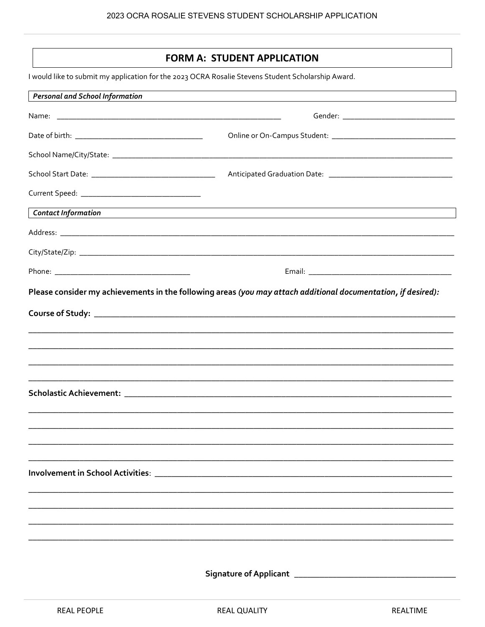### **FORM A: STUDENT APPLICATION**

I would like to submit my application for the 2023 OCRA Rosalie Stevens Student Scholarship Award.

| <b>Personal and School Information</b> |                                                                                                                                                                                                                                                                                                                          |
|----------------------------------------|--------------------------------------------------------------------------------------------------------------------------------------------------------------------------------------------------------------------------------------------------------------------------------------------------------------------------|
|                                        |                                                                                                                                                                                                                                                                                                                          |
|                                        |                                                                                                                                                                                                                                                                                                                          |
|                                        |                                                                                                                                                                                                                                                                                                                          |
|                                        |                                                                                                                                                                                                                                                                                                                          |
|                                        |                                                                                                                                                                                                                                                                                                                          |
| <b>Contact Information</b>             | ,我们也不会有什么。""我们的人,我们也不会有什么?""我们的人,我们也不会有什么?""我们的人,我们也不会有什么?""我们的人,我们也不会有什么?""我们的人<br><u> 1980 - Andrea State Barbara, amerikan personal dan personal dan personal dan personal dan personal dan personal dan personal dan personal dan personal dan personal dan personal dan personal dan personal dan personal dan </u> |
|                                        |                                                                                                                                                                                                                                                                                                                          |
|                                        |                                                                                                                                                                                                                                                                                                                          |
|                                        |                                                                                                                                                                                                                                                                                                                          |
|                                        |                                                                                                                                                                                                                                                                                                                          |
|                                        |                                                                                                                                                                                                                                                                                                                          |
|                                        |                                                                                                                                                                                                                                                                                                                          |
|                                        |                                                                                                                                                                                                                                                                                                                          |
|                                        |                                                                                                                                                                                                                                                                                                                          |
|                                        |                                                                                                                                                                                                                                                                                                                          |
|                                        | Involvement in School Activities: National Activities of the Contract of the Contract of the Contract of the C                                                                                                                                                                                                           |
|                                        |                                                                                                                                                                                                                                                                                                                          |
|                                        |                                                                                                                                                                                                                                                                                                                          |
|                                        |                                                                                                                                                                                                                                                                                                                          |
|                                        |                                                                                                                                                                                                                                                                                                                          |
|                                        | <b>Signature of Applicant</b>                                                                                                                                                                                                                                                                                            |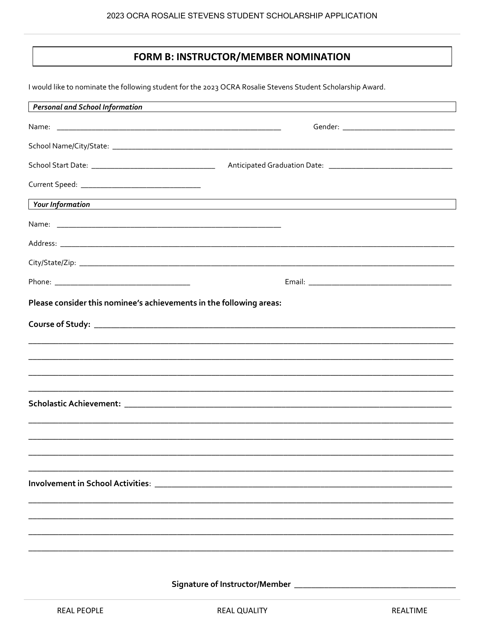## FORM B: INSTRUCTOR/MEMBER NOMINATION

I would like to nominate the following student for the 2023 OCRA Rosalie Stevens Student Scholarship Award.

| <b>Personal and School Information</b>                              |                                                                                                                       |
|---------------------------------------------------------------------|-----------------------------------------------------------------------------------------------------------------------|
|                                                                     |                                                                                                                       |
|                                                                     |                                                                                                                       |
|                                                                     |                                                                                                                       |
|                                                                     |                                                                                                                       |
| <b>Your Information</b>                                             | <u> 1989 - Johann Stoff, deutscher Stoffen und der Stoffen und der Stoffen und der Stoffen und der Stoffen und de</u> |
|                                                                     |                                                                                                                       |
|                                                                     |                                                                                                                       |
|                                                                     |                                                                                                                       |
|                                                                     |                                                                                                                       |
| Please consider this nominee's achievements in the following areas: |                                                                                                                       |
|                                                                     |                                                                                                                       |
|                                                                     |                                                                                                                       |
|                                                                     |                                                                                                                       |
|                                                                     |                                                                                                                       |
|                                                                     |                                                                                                                       |
|                                                                     |                                                                                                                       |
|                                                                     |                                                                                                                       |
|                                                                     |                                                                                                                       |
|                                                                     |                                                                                                                       |
|                                                                     |                                                                                                                       |
|                                                                     |                                                                                                                       |
|                                                                     |                                                                                                                       |
|                                                                     |                                                                                                                       |
|                                                                     |                                                                                                                       |